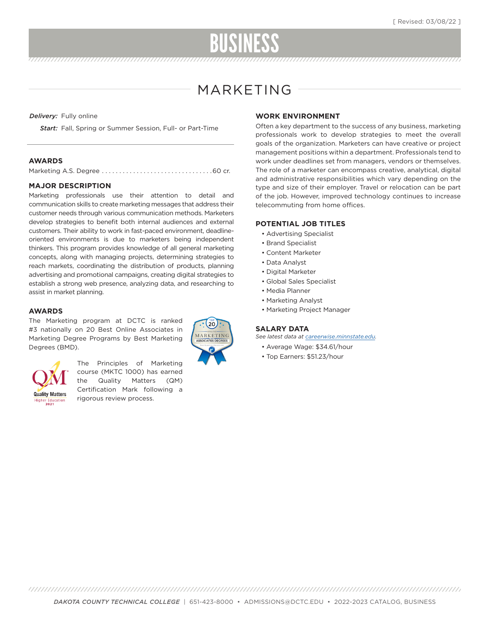# BUSINESS

## MARKETING

*Delivery:* Fully online

*Start:* Fall, Spring or Summer Session, Full- or Part-Time

#### **AWARDS**

|--|--|--|

#### **MAJOR DESCRIPTION**

Marketing professionals use their attention to detail and communication skills to create marketing messages that address their customer needs through various communication methods. Marketers develop strategies to benefit both internal audiences and external customers. Their ability to work in fast-paced environment, deadlineoriented environments is due to marketers being independent thinkers. This program provides knowledge of all general marketing concepts, along with managing projects, determining strategies to reach markets, coordinating the distribution of products, planning advertising and promotional campaigns, creating digital strategies to establish a strong web presence, analyzing data, and researching to assist in market planning.

#### **AWARDS**

The Marketing program at DCTC is ranked #3 nationally on 20 Best Online Associates in Marketing Degree Programs by Best Marketing Degrees (BMD).





The Principles of Marketing course (MKTC 1000) has earned the Quality Matters (QM) Certification Mark following a rigorous review process.

#### **WORK ENVIRONMENT**

Often a key department to the success of any business, marketing professionals work to develop strategies to meet the overall goals of the organization. Marketers can have creative or project management positions within a department. Professionals tend to work under deadlines set from managers, vendors or themselves. The role of a marketer can encompass creative, analytical, digital and administrative responsibilities which vary depending on the type and size of their employer. Travel or relocation can be part of the job. However, improved technology continues to increase telecommuting from home offices.

#### **POTENTIAL JOB TITLES**

- Advertising Specialist
- Brand Specialist
- Content Marketer
- Data Analyst
- Digital Marketer
- Global Sales Specialist
- Media Planner
- Marketing Analyst
- Marketing Project Manager

#### **SALARY DATA**

- *See latest data at careerwise.minnstate.edu.*
	- Average Wage: \$34.61/hour • Top Earners: \$51.23/hour